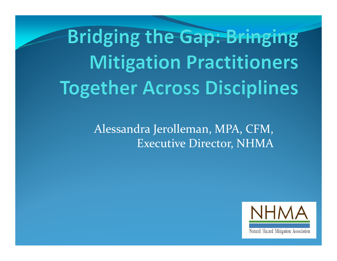**Bridging the Gap: Bringing Mitigation Practitioners Together Across Disciplines** 

> Alessandra Jerolleman, MPA, CFM, Executive Director, NHMA

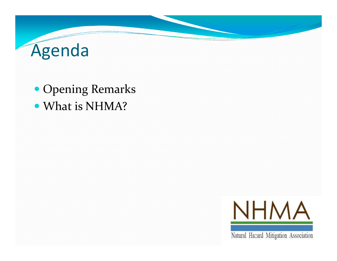# Agenda

Opening Remarks

What is NHMA?

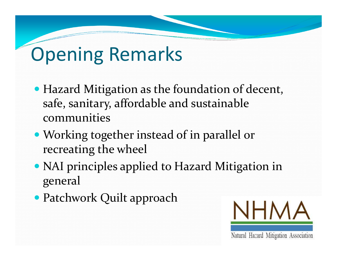# Opening Remarks

- Hazard Mitigation as the foundation of decent, safe, sanitary, affordable and sustainable communities
- Working together instead of in parallel or recreating the wheel
- NAI principles applied to Hazard Mitigation in general
- Patchwork Quilt approach

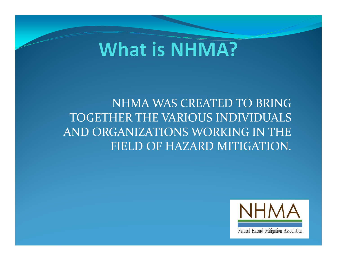#### **What is NHMA?**

#### NHMA WAS CREATED TO BRING TOGETHER THE VARIOUS INDIVIDUALS AND ORGANIZATIONS WORKING IN THE FIELD OF HAZARD MITIGATION.

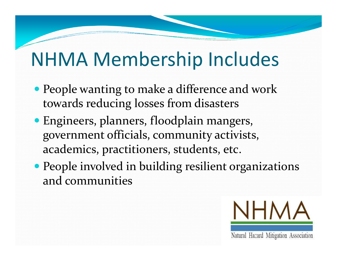### NHMA Membership Includes

- People wanting to make a difference and work towards reducing losses from disasters
- Engineers, planners, floodplain mangers, government officials, community activists, academics, practitioners, students, etc.
- People involved in building resilient organizations and communities

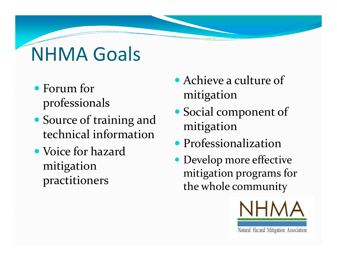# NHMA Goals

- Forum for professionals
- Source of training and technical information
- Voice for hazard mitigation practitioners
- Achieve a culture of mitigation
- Social component of mitigation
- Professionalization
- Develop more effective mitigation programs for the whole community

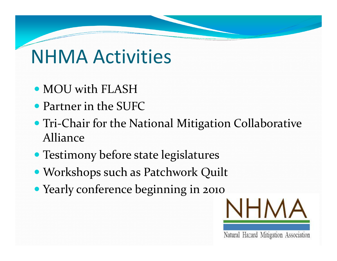### NHMA Activities

- MOU with FLASH
- Partner in the SUFC
- **Tri-Chair for the National Mitigation Collaborative** Alliance
- Testimony before state legislatures
- Workshops such as Patchwork Quilt
- Yearly conference beginning in 2010

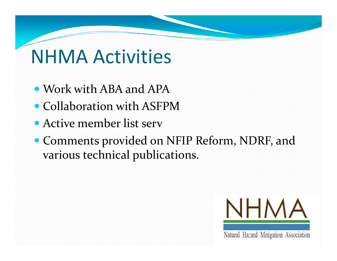#### NHMA Activities

- Work with ABA and APA
- Collaboration with ASFPM
- Active member list serv
- Comments provided on NFIP Reform, NDRF, and various technical publications.